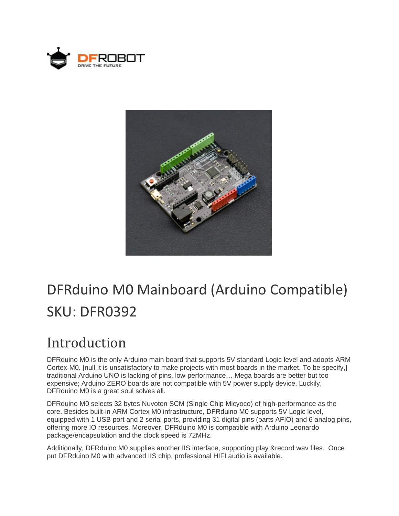



# DFRduino M0 Mainboard (Arduino Compatible) SKU: DFR0392

### Introduction

DFRduino M0 is the only Arduino main board that supports 5V standard Logic level and adopts ARM Cortex-M0. [null It is unsatisfactory to make projects with most boards in the market. To be specify,] traditional Arduino UNO is lacking of pins, low-performance… Mega boards are better but too expensive; Arduino ZERO boards are not compatible with 5V power supply device. Luckily, DFRduino M0 is a great soul solves all.

DFRduino M0 selects 32 bytes Nuvoton SCM (Single Chip Micyoco) of high-performance as the core. Besides built-in ARM Cortex M0 infrastructure, DFRduino M0 supports 5V Logic level, equipped with 1 USB port and 2 serial ports, providing 31 digital pins (parts AFIO) and 6 analog pins, offering more IO resources. Moreover, DFRduino M0 is compatible with Arduino Leonardo package/encapsulation and the clock speed is 72MHz.

Additionally, DFRduino M0 supplies another IIS interface, supporting play &record wav files. Once put DFRduino M0 with advanced IIS chip, professional HIFI audio is available.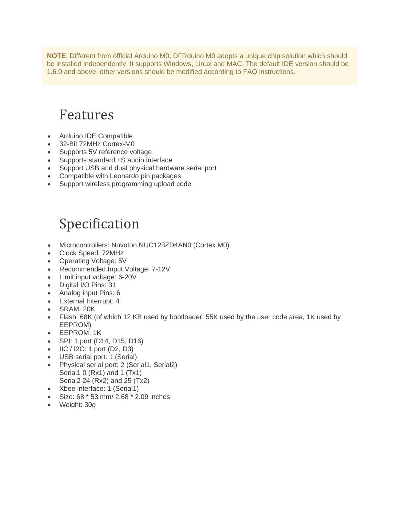**NOTE**: Different from official Arduino M0, DFRduino M0 adopts a unique chip solution which should be installed independently. It supports Windows, Linux and MAC. The default IDE version should be 1.6.0 and above, other versions should be modified according to FAQ instructions.

### Features

- Arduino IDE Compatible
- 32-Bit 72MHz Cortex-M0
- Supports 5V reference voltage
- Supports standard IIS audio interface
- Support USB and dual physical hardware serial port
- Compatible with Leonardo pin packages
- Support wireless programming upload code

### Specification

- Microcontrollers: Nuvoton NUC123ZD4AN0 (Cortex M0)
- Clock Speed: 72MHz
- Operating Voltage: 5V
- Recommended Input Voltage: 7-12V
- Limit input voltage: 6-20V
- Digital I/O Pins: 31
- Analog input Pins: 6
- External Interrupt: 4
- SRAM: 20K
- Flash: 68K (of which 12 KB used by bootloader, 55K used by the user code area, 1K used by EEPROM)
- EEPROM: 1K
- SPI: 1 port (D14, D15, D16)
- $\bullet$  IIC / I2C: 1 port (D2, D3)
- USB serial port: 1 (Serial)
- Physical serial port: 2 (Serial1, Serial2) Serial1 0 (Rx1) and 1 (Tx1) Serial2 24 (Rx2) and 25 (Tx2)
- Xbee interface: 1 (Serial1)
- Size: 68 \* 53 mm/ 2.68 \* 2.09 inches
- Weight: 30g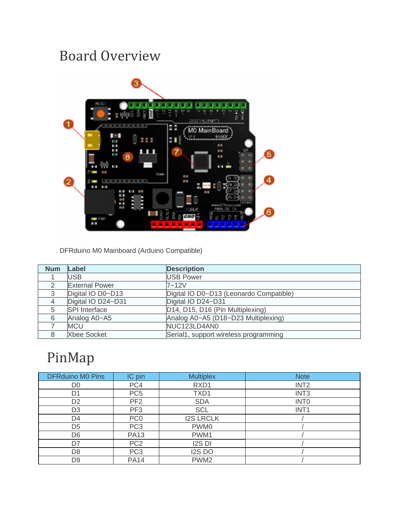## Board Overview



DFRduino M0 Mainboard (Arduino Compatible)

| <b>Num</b> | Label                 | <b>Description</b>                      |
|------------|-----------------------|-----------------------------------------|
|            | USB                   | <b>USB Power</b>                        |
|            | <b>External Power</b> | $7 - 12V$                               |
| 3          | Digital IO D0~D13     | Digital IO D0~D13 (Leonardo Compatible) |
|            | Digital IO D24~D31    | Digital IO D24~D31                      |
|            | <b>SPI</b> Interface  | D14, D15, D16 (Pin Multiplexing)        |
| 6          | Analog A0~A5          | Analog A0~A5 (D18~D23 Multiplexing)     |
|            | <b>MCU</b>            | NUC123LD4AN0                            |
|            | <b>Xbee Socket</b>    | Serial1, support wireless programming   |

## PinMap

| <b>DFRduino M0 Pins</b> | IC pin          | <b>Multiplex</b> | <b>Note</b>      |
|-------------------------|-----------------|------------------|------------------|
| D <sub>0</sub>          | PC4             | RXD1             | INT <sub>2</sub> |
| D <sub>1</sub>          | PC <sub>5</sub> | TXD1             | INT <sub>3</sub> |
| D <sub>2</sub>          | PF <sub>2</sub> | <b>SDA</b>       | <b>INTO</b>      |
| D <sub>3</sub>          | PF <sub>3</sub> | <b>SCL</b>       | INT <sub>1</sub> |
| D4                      | PC <sub>0</sub> | <b>I2S LRCLK</b> |                  |
| D <sub>5</sub>          | PC <sub>3</sub> | PWM0             |                  |
| D <sub>6</sub>          | <b>PA13</b>     | PWM1             |                  |
| D7                      | PC <sub>2</sub> | <b>I2S DI</b>    |                  |
| D <sub>8</sub>          | PC <sub>3</sub> | I2S DO           |                  |
| D9                      | <b>PA14</b>     | PWM <sub>2</sub> |                  |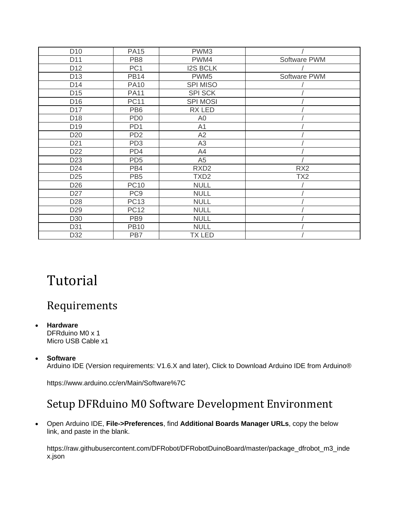| D <sub>10</sub> | <b>PA15</b>     | PWM3             |                 |
|-----------------|-----------------|------------------|-----------------|
| D11             | PB <sub>8</sub> | PWM4             | Software PWM    |
| D <sub>12</sub> | PC <sub>1</sub> | <b>I2S BCLK</b>  |                 |
| D <sub>13</sub> | <b>PB14</b>     | PWM <sub>5</sub> | Software PWM    |
| D <sub>14</sub> | <b>PA10</b>     | <b>SPI MISO</b>  |                 |
| D <sub>15</sub> | <b>PA11</b>     | <b>SPI SCK</b>   |                 |
| D <sub>16</sub> | <b>PC11</b>     | <b>SPI MOSI</b>  |                 |
| D <sub>17</sub> | PB <sub>6</sub> | RX LED           |                 |
| D <sub>18</sub> | PD <sub>0</sub> | A <sub>0</sub>   |                 |
| D <sub>19</sub> | PD <sub>1</sub> | A <sub>1</sub>   |                 |
| D <sub>20</sub> | PD <sub>2</sub> | A2               |                 |
| D <sub>21</sub> | PD <sub>3</sub> | A <sub>3</sub>   |                 |
| D <sub>22</sub> | PD4             | A4               |                 |
| D <sub>23</sub> | PD <sub>5</sub> | A <sub>5</sub>   |                 |
| D <sub>24</sub> | PB4             | RXD <sub>2</sub> | RX <sub>2</sub> |
| D <sub>25</sub> | PB <sub>5</sub> | TXD <sub>2</sub> | TX <sub>2</sub> |
| D <sub>26</sub> | <b>PC10</b>     | <b>NULL</b>      |                 |
| D <sub>27</sub> | PC <sub>9</sub> | <b>NULL</b>      |                 |
| D <sub>28</sub> | <b>PC13</b>     | <b>NULL</b>      |                 |
| D <sub>29</sub> | <b>PC12</b>     | <b>NULL</b>      |                 |
| D <sub>30</sub> | PB <sub>9</sub> | <b>NULL</b>      |                 |
| D31             | <b>PB10</b>     | <b>NULL</b>      |                 |
| D32             | PB7             | <b>TX LED</b>    |                 |

### Tutorial

#### Requirements

- **Hardware** DFRduino M0 x 1 Micro USB Cable x1
- **Software**

Arduino IDE (Version requirements: V1.6.X and later), Click to Download Arduino IDE from Arduino®

https://www.arduino.cc/en/Main/Software%7C

#### Setup DFRduino M0 Software Development Environment

 Open Arduino IDE, **File->Preferences**, find **Additional Boards Manager URLs**, copy the below link, and paste in the blank.

https://raw.githubusercontent.com/DFRobot/DFRobotDuinoBoard/master/package\_dfrobot\_m3\_inde x.json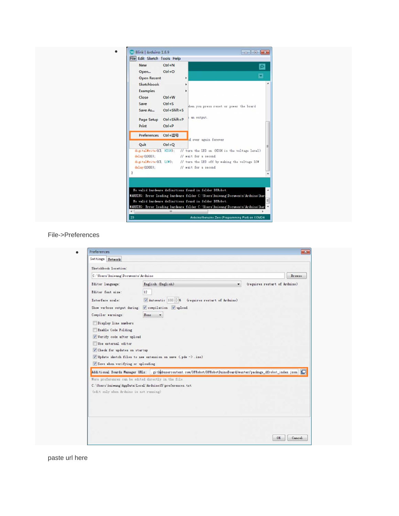| 8 Blink   Arduino 1.6.9<br>File Edit Sketch Tools Help                                                                                                                                                                                                                                                                                                                                                                                                                                                                                                                                |
|---------------------------------------------------------------------------------------------------------------------------------------------------------------------------------------------------------------------------------------------------------------------------------------------------------------------------------------------------------------------------------------------------------------------------------------------------------------------------------------------------------------------------------------------------------------------------------------|
| $Ctrl + N$<br>New<br>$Ctrl + O$<br>Open<br>Open Recent<br>,<br>Sketchbook<br>Examples<br>$Ctrl + W$<br>Close<br>$Ctrl + S$<br>Save<br>shen you press reset or power the board<br>Ctrl+Shift+S<br>Save As<br>an output.<br>Ctrl+Shift+P<br>Page Setup<br>$Ctrl + P$<br>Print<br>Preferences Ctrl+逗号<br>ad over again forever<br>Quit<br>$Ctrl + Q$<br>digitalWrite(13, MIGO; // turn the LED on OIIGH is the voltage level)<br>delay (1000):<br>// wait for a second<br>digitalWrite (13, 10W); // turn the LED off by waking the voltage 10W<br>// wait for a second<br>delay (1000); |

File->Preferences

| Sketchhook location:<br>C: \Users\huiwang\Documents\Arduino<br>Inglish (Inglish)<br>Editor Innguage:                                                                                                                                                                                                                                                                                                                               |
|------------------------------------------------------------------------------------------------------------------------------------------------------------------------------------------------------------------------------------------------------------------------------------------------------------------------------------------------------------------------------------------------------------------------------------|
|                                                                                                                                                                                                                                                                                                                                                                                                                                    |
|                                                                                                                                                                                                                                                                                                                                                                                                                                    |
| 12<br>Editor font size:<br>$V$ Automatic 100 $-K$ (requires restart of Arduino)<br>Interface scale:<br>Show verbose output during: V compilation V upload<br>Compiler warnings:<br>Hone v<br>Display line numbers<br>Enable Code Folding<br>V Verify code after upload<br>Wse external editor<br>Check for updates on startup<br>V Update sketch files to new extension on save (pde -> . inc)<br>Save when verifying or uploading |

paste url here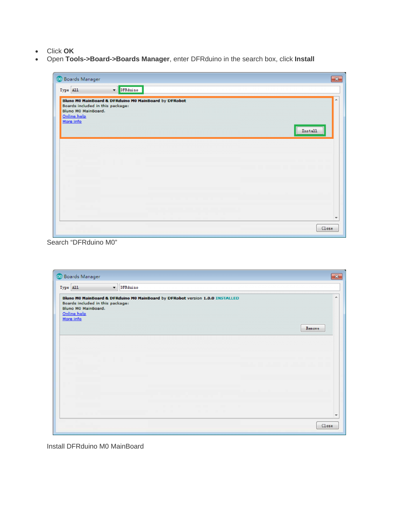- Click **OK**
- Open **Tools->Board->Boards Manager**, enter DFRduino in the search box, click **Install**

| Boards included in this package:<br>Bluno M0 MainBoard.<br>Online help<br>More info | Bluno MO MainBoard & DFRduino MO MainBoard by DFRobot |  |         |
|-------------------------------------------------------------------------------------|-------------------------------------------------------|--|---------|
|                                                                                     |                                                       |  | Install |
|                                                                                     |                                                       |  |         |
|                                                                                     |                                                       |  |         |
|                                                                                     |                                                       |  |         |
|                                                                                     |                                                       |  |         |

Search "DFRduino M0"

| Boards included in this package:<br>Bluno MO MainBoard.<br>Online help<br>More info | Bluno MO MainBoard & DFRduino MO MainBoard by DFRobot version 1.0.0 INSTALLED | A<br>Renove |
|-------------------------------------------------------------------------------------|-------------------------------------------------------------------------------|-------------|
|                                                                                     |                                                                               |             |
|                                                                                     |                                                                               |             |

Install DFRduino M0 MainBoard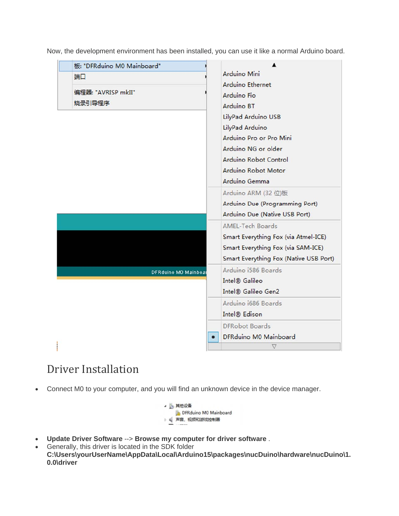Now, the development environment has been installed, you can use it like a normal Arduino board.

| 端口                   | Arduino Mini                           |  |
|----------------------|----------------------------------------|--|
|                      | <b>Arduino Ethernet</b>                |  |
| 编程器: "AVRISP mkII"   | Arduino Fio                            |  |
| 烧录引导程序               | Arduino BT                             |  |
|                      | LilyPad Arduino USB                    |  |
|                      | LilyPad Arduino                        |  |
|                      | Arduino Pro or Pro Mini                |  |
|                      | Arduino NG or older                    |  |
|                      | Arduino Robot Control                  |  |
|                      | Arduino Robot Motor                    |  |
|                      | Arduino Gemma                          |  |
|                      | Arduino ARM (32位)板                     |  |
|                      | Arduino Due (Programming Port)         |  |
|                      | Arduino Due (Native USB Port)          |  |
|                      | <b>AMEL-Tech Boards</b>                |  |
|                      | Smart Everything Fox (via Atmel-ICE)   |  |
|                      | Smart Everything Fox (via SAM-ICE)     |  |
|                      | Smart Everything Fox (Native USB Port) |  |
| DFRduino MO Mainboar | Arduino i586 Boards                    |  |
|                      | Intel <sup>®</sup> Galileo             |  |
|                      | Intel® Galileo Gen2                    |  |
|                      | Arduino i686 Boards                    |  |
|                      | Intel <sup>®</sup> Edison              |  |
|                      | <b>DFRobot Boards</b>                  |  |
|                      | DFRduino M0 Mainboard                  |  |
|                      | V                                      |  |

#### Driver Installation

Connect M0 to your computer, and you will find an unknown device in the device manager.



- **Update Driver Software** --> **Browse my computer for driver software** .
- Generally, this driver is located in the SDK folder **C:\Users\yourUserName\AppData\Local\Arduino15\packages\nucDuino\hardware\nucDuino\1. 0.0\driver**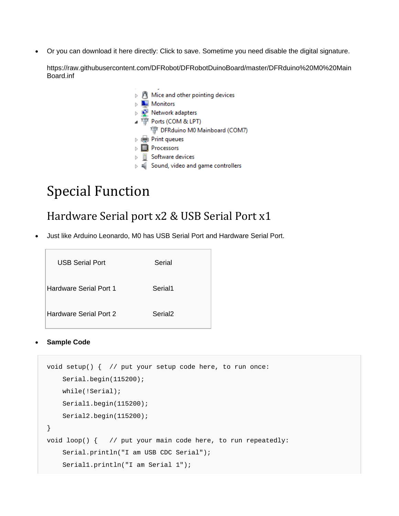Or you can download it here directly: Click to save. Sometime you need disable the digital signature.

https://raw.githubusercontent.com/DFRobot/DFRobotDuinoBoard/master/DFRduino%20M0%20Main Board.inf

> $\triangleright$   $\blacksquare$  Mice and other pointing devices  $\triangleright$  **Monitors** > P Network adapters ▲ 博 Ports (COM & LPT) DFRduino M0 Mainboard (COM7)  $\triangleright$   $\blacksquare$  Print queues  $\triangleright$  **Processors**  $\triangleright$  | Software devices  $\triangleright$  # Sound, video and game controllers

### Special Function

#### Hardware Serial port x2 & USB Serial Port x1

Just like Arduino Leonardo, M0 has USB Serial Port and Hardware Serial Port.

| USB Serial Port               | Serial              |
|-------------------------------|---------------------|
| Hardware Serial Port 1        | Serial1             |
| <b>Hardware Serial Port 2</b> | Serial <sub>2</sub> |

#### **Sample Code**

```
void setup() { // put your setup code here, to run once: 
     Serial.begin(115200); 
     while(!Serial); 
     Serial1.begin(115200); 
     Serial2.begin(115200); 
} 
void loop() { // put your main code here, to run repeatedly: 
     Serial.println("I am USB CDC Serial"); 
     Serial1.println("I am Serial 1");
```